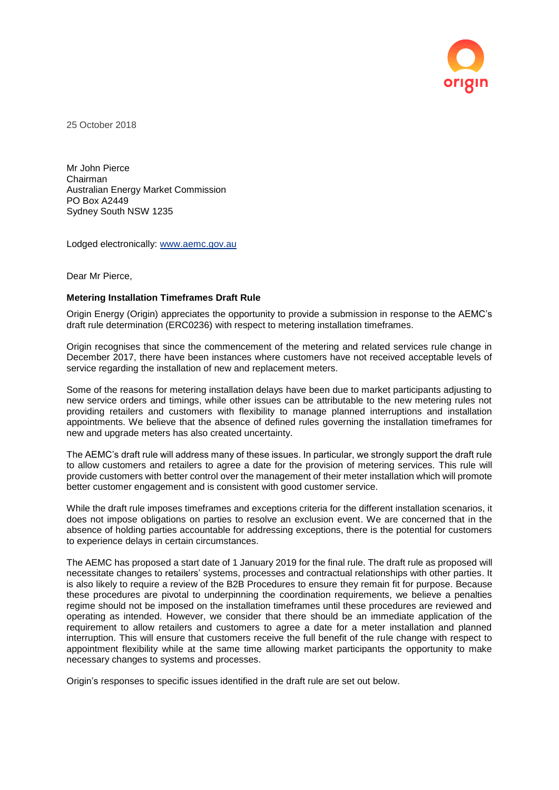

25 October 2018

Mr John Pierce Chairman Australian Energy Market Commission PO Box A2449 Sydney South NSW 1235

Lodged electronically: [www.aemc.gov.au](http://www.aemc.gov.au/)

Dear Mr Pierce,

### **Metering Installation Timeframes Draft Rule**

Origin Energy (Origin) appreciates the opportunity to provide a submission in response to the AEMC's draft rule determination (ERC0236) with respect to metering installation timeframes.

Origin recognises that since the commencement of the metering and related services rule change in December 2017, there have been instances where customers have not received acceptable levels of service regarding the installation of new and replacement meters.

Some of the reasons for metering installation delays have been due to market participants adjusting to new service orders and timings, while other issues can be attributable to the new metering rules not providing retailers and customers with flexibility to manage planned interruptions and installation appointments. We believe that the absence of defined rules governing the installation timeframes for new and upgrade meters has also created uncertainty.

The AEMC's draft rule will address many of these issues. In particular, we strongly support the draft rule to allow customers and retailers to agree a date for the provision of metering services. This rule will provide customers with better control over the management of their meter installation which will promote better customer engagement and is consistent with good customer service.

While the draft rule imposes timeframes and exceptions criteria for the different installation scenarios, it does not impose obligations on parties to resolve an exclusion event. We are concerned that in the absence of holding parties accountable for addressing exceptions, there is the potential for customers to experience delays in certain circumstances.

The AEMC has proposed a start date of 1 January 2019 for the final rule. The draft rule as proposed will necessitate changes to retailers' systems, processes and contractual relationships with other parties. It is also likely to require a review of the B2B Procedures to ensure they remain fit for purpose. Because these procedures are pivotal to underpinning the coordination requirements, we believe a penalties regime should not be imposed on the installation timeframes until these procedures are reviewed and operating as intended. However, we consider that there should be an immediate application of the requirement to allow retailers and customers to agree a date for a meter installation and planned interruption. This will ensure that customers receive the full benefit of the rule change with respect to appointment flexibility while at the same time allowing market participants the opportunity to make necessary changes to systems and processes.

Origin's responses to specific issues identified in the draft rule are set out below.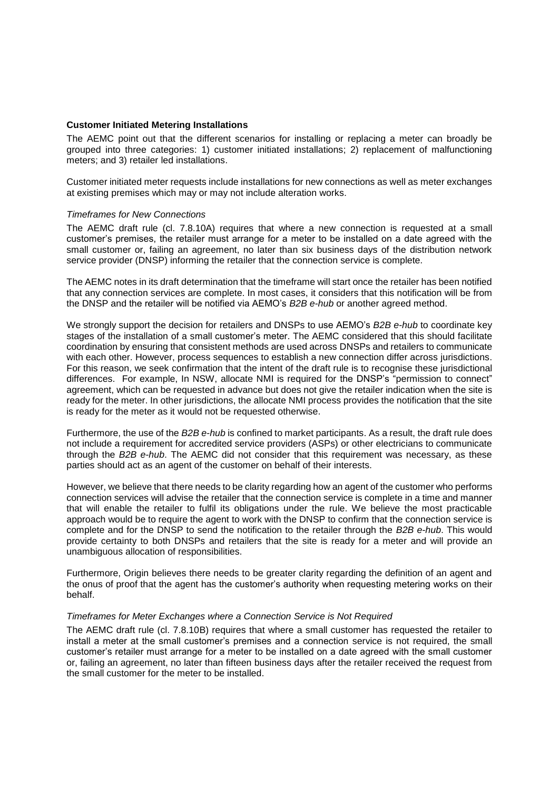## **Customer Initiated Metering Installations**

The AEMC point out that the different scenarios for installing or replacing a meter can broadly be grouped into three categories: 1) customer initiated installations; 2) replacement of malfunctioning meters; and 3) retailer led installations.

Customer initiated meter requests include installations for new connections as well as meter exchanges at existing premises which may or may not include alteration works.

### *Timeframes for New Connections*

The AEMC draft rule (cl. 7.8.10A) requires that where a new connection is requested at a small customer's premises, the retailer must arrange for a meter to be installed on a date agreed with the small customer or, failing an agreement, no later than six business days of the distribution network service provider (DNSP) informing the retailer that the connection service is complete.

The AEMC notes in its draft determination that the timeframe will start once the retailer has been notified that any connection services are complete. In most cases, it considers that this notification will be from the DNSP and the retailer will be notified via AEMO's *B2B e-hub* or another agreed method.

We strongly support the decision for retailers and DNSPs to use AEMO's *B2B e-hub* to coordinate key stages of the installation of a small customer's meter. The AEMC considered that this should facilitate coordination by ensuring that consistent methods are used across DNSPs and retailers to communicate with each other. However, process sequences to establish a new connection differ across jurisdictions. For this reason, we seek confirmation that the intent of the draft rule is to recognise these jurisdictional differences. For example, In NSW, allocate NMI is required for the DNSP's "permission to connect" agreement, which can be requested in advance but does not give the retailer indication when the site is ready for the meter. In other jurisdictions, the allocate NMI process provides the notification that the site is ready for the meter as it would not be requested otherwise.

Furthermore, the use of the *B2B e-hub* is confined to market participants. As a result, the draft rule does not include a requirement for accredited service providers (ASPs) or other electricians to communicate through the *B2B e-hub*. The AEMC did not consider that this requirement was necessary, as these parties should act as an agent of the customer on behalf of their interests.

However, we believe that there needs to be clarity regarding how an agent of the customer who performs connection services will advise the retailer that the connection service is complete in a time and manner that will enable the retailer to fulfil its obligations under the rule. We believe the most practicable approach would be to require the agent to work with the DNSP to confirm that the connection service is complete and for the DNSP to send the notification to the retailer through the *B2B e-hub*. This would provide certainty to both DNSPs and retailers that the site is ready for a meter and will provide an unambiguous allocation of responsibilities.

Furthermore, Origin believes there needs to be greater clarity regarding the definition of an agent and the onus of proof that the agent has the customer's authority when requesting metering works on their behalf.

### *Timeframes for Meter Exchanges where a Connection Service is Not Required*

The AEMC draft rule (cl. 7.8.10B) requires that where a small customer has requested the retailer to install a meter at the small customer's premises and a connection service is not required, the small customer's retailer must arrange for a meter to be installed on a date agreed with the small customer or, failing an agreement, no later than fifteen business days after the retailer received the request from the small customer for the meter to be installed.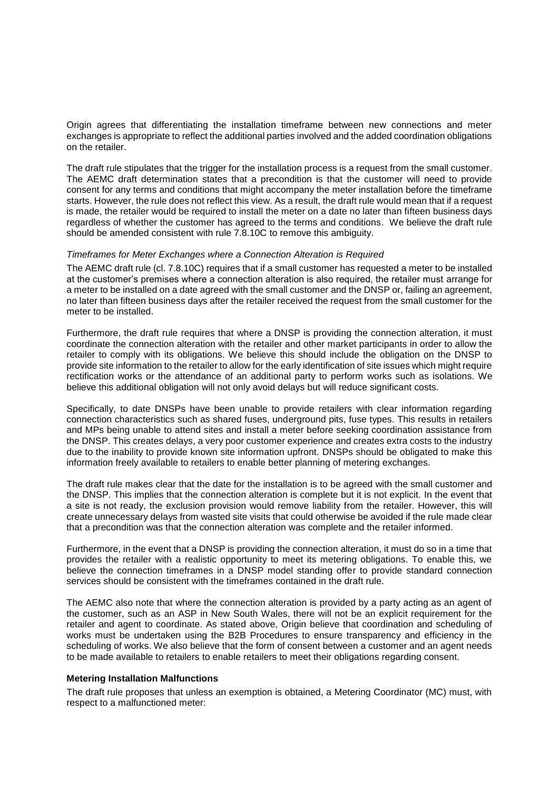Origin agrees that differentiating the installation timeframe between new connections and meter exchanges is appropriate to reflect the additional parties involved and the added coordination obligations on the retailer.

The draft rule stipulates that the trigger for the installation process is a request from the small customer. The AEMC draft determination states that a precondition is that the customer will need to provide consent for any terms and conditions that might accompany the meter installation before the timeframe starts. However, the rule does not reflect this view. As a result, the draft rule would mean that if a request is made, the retailer would be required to install the meter on a date no later than fifteen business days regardless of whether the customer has agreed to the terms and conditions. We believe the draft rule should be amended consistent with rule 7.8.10C to remove this ambiguity.

### *Timeframes for Meter Exchanges where a Connection Alteration is Required*

The AEMC draft rule (cl. 7.8.10C) requires that if a small customer has requested a meter to be installed at the customer's premises where a connection alteration is also required, the retailer must arrange for a meter to be installed on a date agreed with the small customer and the DNSP or, failing an agreement, no later than fifteen business days after the retailer received the request from the small customer for the meter to be installed.

Furthermore, the draft rule requires that where a DNSP is providing the connection alteration, it must coordinate the connection alteration with the retailer and other market participants in order to allow the retailer to comply with its obligations. We believe this should include the obligation on the DNSP to provide site information to the retailer to allow for the early identification of site issues which might require rectification works or the attendance of an additional party to perform works such as isolations. We believe this additional obligation will not only avoid delays but will reduce significant costs.

Specifically, to date DNSPs have been unable to provide retailers with clear information regarding connection characteristics such as shared fuses, underground pits, fuse types. This results in retailers and MPs being unable to attend sites and install a meter before seeking coordination assistance from the DNSP. This creates delays, a very poor customer experience and creates extra costs to the industry due to the inability to provide known site information upfront. DNSPs should be obligated to make this information freely available to retailers to enable better planning of metering exchanges.

The draft rule makes clear that the date for the installation is to be agreed with the small customer and the DNSP. This implies that the connection alteration is complete but it is not explicit. In the event that a site is not ready, the exclusion provision would remove liability from the retailer. However, this will create unnecessary delays from wasted site visits that could otherwise be avoided if the rule made clear that a precondition was that the connection alteration was complete and the retailer informed.

Furthermore, in the event that a DNSP is providing the connection alteration, it must do so in a time that provides the retailer with a realistic opportunity to meet its metering obligations. To enable this, we believe the connection timeframes in a DNSP model standing offer to provide standard connection services should be consistent with the timeframes contained in the draft rule.

The AEMC also note that where the connection alteration is provided by a party acting as an agent of the customer, such as an ASP in New South Wales, there will not be an explicit requirement for the retailer and agent to coordinate. As stated above, Origin believe that coordination and scheduling of works must be undertaken using the B2B Procedures to ensure transparency and efficiency in the scheduling of works. We also believe that the form of consent between a customer and an agent needs to be made available to retailers to enable retailers to meet their obligations regarding consent.

## **Metering Installation Malfunctions**

The draft rule proposes that unless an exemption is obtained, a Metering Coordinator (MC) must, with respect to a malfunctioned meter: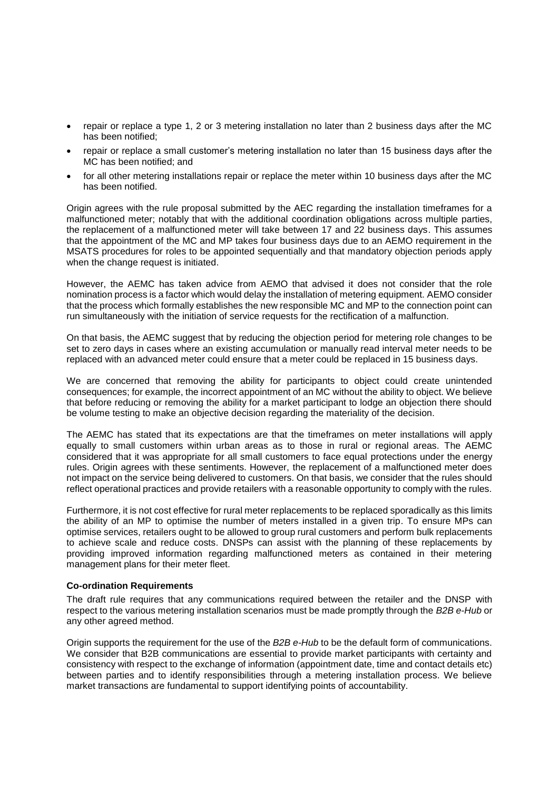- repair or replace a type 1, 2 or 3 metering installation no later than 2 business days after the MC has been notified;
- repair or replace a small customer's metering installation no later than 15 business days after the MC has been notified; and
- for all other metering installations repair or replace the meter within 10 business days after the MC has been notified.

Origin agrees with the rule proposal submitted by the AEC regarding the installation timeframes for a malfunctioned meter; notably that with the additional coordination obligations across multiple parties, the replacement of a malfunctioned meter will take between 17 and 22 business days. This assumes that the appointment of the MC and MP takes four business days due to an AEMO requirement in the MSATS procedures for roles to be appointed sequentially and that mandatory objection periods apply when the change request is initiated.

However, the AEMC has taken advice from AEMO that advised it does not consider that the role nomination process is a factor which would delay the installation of metering equipment. AEMO consider that the process which formally establishes the new responsible MC and MP to the connection point can run simultaneously with the initiation of service requests for the rectification of a malfunction.

On that basis, the AEMC suggest that by reducing the objection period for metering role changes to be set to zero days in cases where an existing accumulation or manually read interval meter needs to be replaced with an advanced meter could ensure that a meter could be replaced in 15 business days.

We are concerned that removing the ability for participants to object could create unintended consequences; for example, the incorrect appointment of an MC without the ability to object. We believe that before reducing or removing the ability for a market participant to lodge an objection there should be volume testing to make an objective decision regarding the materiality of the decision.

The AEMC has stated that its expectations are that the timeframes on meter installations will apply equally to small customers within urban areas as to those in rural or regional areas. The AEMC considered that it was appropriate for all small customers to face equal protections under the energy rules. Origin agrees with these sentiments. However, the replacement of a malfunctioned meter does not impact on the service being delivered to customers. On that basis, we consider that the rules should reflect operational practices and provide retailers with a reasonable opportunity to comply with the rules.

Furthermore, it is not cost effective for rural meter replacements to be replaced sporadically as this limits the ability of an MP to optimise the number of meters installed in a given trip. To ensure MPs can optimise services, retailers ought to be allowed to group rural customers and perform bulk replacements to achieve scale and reduce costs. DNSPs can assist with the planning of these replacements by providing improved information regarding malfunctioned meters as contained in their metering management plans for their meter fleet.

# **Co-ordination Requirements**

The draft rule requires that any communications required between the retailer and the DNSP with respect to the various metering installation scenarios must be made promptly through the *B2B e-Hub* or any other agreed method.

Origin supports the requirement for the use of the *B2B e-Hub* to be the default form of communications. We consider that B2B communications are essential to provide market participants with certainty and consistency with respect to the exchange of information (appointment date, time and contact details etc) between parties and to identify responsibilities through a metering installation process. We believe market transactions are fundamental to support identifying points of accountability.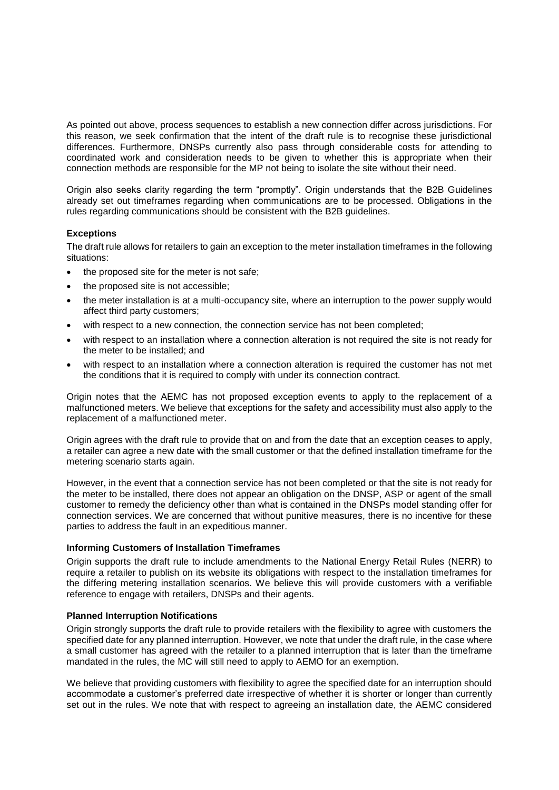As pointed out above, process sequences to establish a new connection differ across jurisdictions. For this reason, we seek confirmation that the intent of the draft rule is to recognise these jurisdictional differences. Furthermore, DNSPs currently also pass through considerable costs for attending to coordinated work and consideration needs to be given to whether this is appropriate when their connection methods are responsible for the MP not being to isolate the site without their need.

Origin also seeks clarity regarding the term "promptly". Origin understands that the B2B Guidelines already set out timeframes regarding when communications are to be processed. Obligations in the rules regarding communications should be consistent with the B2B guidelines.

# **Exceptions**

The draft rule allows for retailers to gain an exception to the meter installation timeframes in the following situations:

- the proposed site for the meter is not safe;
- the proposed site is not accessible;
- the meter installation is at a multi-occupancy site, where an interruption to the power supply would affect third party customers;
- with respect to a new connection, the connection service has not been completed;
- with respect to an installation where a connection alteration is not required the site is not ready for the meter to be installed; and
- with respect to an installation where a connection alteration is required the customer has not met the conditions that it is required to comply with under its connection contract.

Origin notes that the AEMC has not proposed exception events to apply to the replacement of a malfunctioned meters. We believe that exceptions for the safety and accessibility must also apply to the replacement of a malfunctioned meter.

Origin agrees with the draft rule to provide that on and from the date that an exception ceases to apply, a retailer can agree a new date with the small customer or that the defined installation timeframe for the metering scenario starts again.

However, in the event that a connection service has not been completed or that the site is not ready for the meter to be installed, there does not appear an obligation on the DNSP, ASP or agent of the small customer to remedy the deficiency other than what is contained in the DNSPs model standing offer for connection services. We are concerned that without punitive measures, there is no incentive for these parties to address the fault in an expeditious manner.

# **Informing Customers of Installation Timeframes**

Origin supports the draft rule to include amendments to the National Energy Retail Rules (NERR) to require a retailer to publish on its website its obligations with respect to the installation timeframes for the differing metering installation scenarios. We believe this will provide customers with a verifiable reference to engage with retailers, DNSPs and their agents.

# **Planned Interruption Notifications**

Origin strongly supports the draft rule to provide retailers with the flexibility to agree with customers the specified date for any planned interruption. However, we note that under the draft rule, in the case where a small customer has agreed with the retailer to a planned interruption that is later than the timeframe mandated in the rules, the MC will still need to apply to AEMO for an exemption.

We believe that providing customers with flexibility to agree the specified date for an interruption should accommodate a customer's preferred date irrespective of whether it is shorter or longer than currently set out in the rules. We note that with respect to agreeing an installation date, the AEMC considered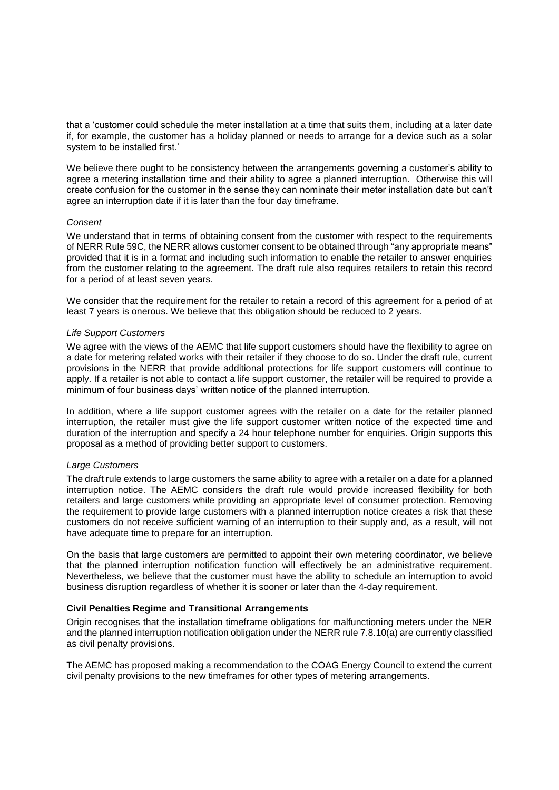that a 'customer could schedule the meter installation at a time that suits them, including at a later date if, for example, the customer has a holiday planned or needs to arrange for a device such as a solar system to be installed first.'

We believe there ought to be consistency between the arrangements governing a customer's ability to agree a metering installation time and their ability to agree a planned interruption. Otherwise this will create confusion for the customer in the sense they can nominate their meter installation date but can't agree an interruption date if it is later than the four day timeframe.

# *Consent*

We understand that in terms of obtaining consent from the customer with respect to the requirements of NERR Rule 59C, the NERR allows customer consent to be obtained through "any appropriate means" provided that it is in a format and including such information to enable the retailer to answer enquiries from the customer relating to the agreement. The draft rule also requires retailers to retain this record for a period of at least seven years.

We consider that the requirement for the retailer to retain a record of this agreement for a period of at least 7 years is onerous. We believe that this obligation should be reduced to 2 years.

### *Life Support Customers*

We agree with the views of the AEMC that life support customers should have the flexibility to agree on a date for metering related works with their retailer if they choose to do so. Under the draft rule, current provisions in the NERR that provide additional protections for life support customers will continue to apply. If a retailer is not able to contact a life support customer, the retailer will be required to provide a minimum of four business days' written notice of the planned interruption.

In addition, where a life support customer agrees with the retailer on a date for the retailer planned interruption, the retailer must give the life support customer written notice of the expected time and duration of the interruption and specify a 24 hour telephone number for enquiries. Origin supports this proposal as a method of providing better support to customers.

### *Large Customers*

The draft rule extends to large customers the same ability to agree with a retailer on a date for a planned interruption notice. The AEMC considers the draft rule would provide increased flexibility for both retailers and large customers while providing an appropriate level of consumer protection. Removing the requirement to provide large customers with a planned interruption notice creates a risk that these customers do not receive sufficient warning of an interruption to their supply and, as a result, will not have adequate time to prepare for an interruption.

On the basis that large customers are permitted to appoint their own metering coordinator, we believe that the planned interruption notification function will effectively be an administrative requirement. Nevertheless, we believe that the customer must have the ability to schedule an interruption to avoid business disruption regardless of whether it is sooner or later than the 4-day requirement.

# **Civil Penalties Regime and Transitional Arrangements**

Origin recognises that the installation timeframe obligations for malfunctioning meters under the NER and the planned interruption notification obligation under the NERR rule 7.8.10(a) are currently classified as civil penalty provisions.

The AEMC has proposed making a recommendation to the COAG Energy Council to extend the current civil penalty provisions to the new timeframes for other types of metering arrangements.